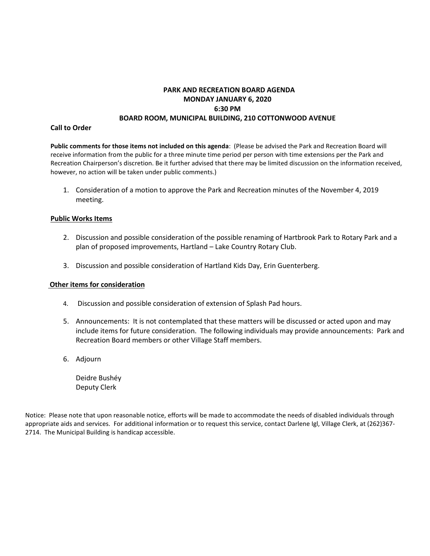# **PARK AND RECREATION BOARD AGENDA MONDAY JANUARY 6, 2020 6:30 PM BOARD ROOM, MUNICIPAL BUILDING, 210 COTTONWOOD AVENUE**

## **Call to Order**

**Public comments for those items not included on this agenda**: (Please be advised the Park and Recreation Board will receive information from the public for a three minute time period per person with time extensions per the Park and Recreation Chairperson's discretion. Be it further advised that there may be limited discussion on the information received, however, no action will be taken under public comments.)

1. Consideration of a motion to approve the Park and Recreation minutes of the November 4, 2019 meeting.

#### **Public Works Items**

- 2. Discussion and possible consideration of the possible renaming of Hartbrook Park to Rotary Park and a plan of proposed improvements, Hartland – Lake Country Rotary Club.
- 3. Discussion and possible consideration of Hartland Kids Day, Erin Guenterberg.

#### **Other items for consideration**

- 4. Discussion and possible consideration of extension of Splash Pad hours.
- 5. Announcements: It is not contemplated that these matters will be discussed or acted upon and may include items for future consideration. The following individuals may provide announcements: Park and Recreation Board members or other Village Staff members.
- 6. Adjourn

Deidre Bushéy Deputy Clerk

Notice: Please note that upon reasonable notice, efforts will be made to accommodate the needs of disabled individuals through appropriate aids and services. For additional information or to request this service, contact Darlene Igl, Village Clerk, at (262)367- 2714. The Municipal Building is handicap accessible.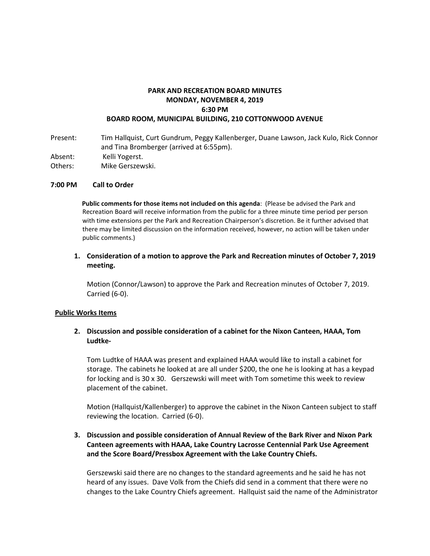## **PARK AND RECREATION BOARD MINUTES MONDAY, NOVEMBER 4, 2019 6:30 PM BOARD ROOM, MUNICIPAL BUILDING, 210 COTTONWOOD AVENUE**

Present: Tim Hallquist, Curt Gundrum, Peggy Kallenberger, Duane Lawson, Jack Kulo, Rick Connor and Tina Bromberger (arrived at 6:55pm).

Absent: Kelli Yogerst.

Others: Mike Gerszewski.

## **7:00 PM Call to Order**

 **Public comments for those items not included on this agenda**: (Please be advised the Park and Recreation Board will receive information from the public for a three minute time period per person with time extensions per the Park and Recreation Chairperson's discretion. Be it further advised that there may be limited discussion on the information received, however, no action will be taken under public comments.)

## **1. Consideration of a motion to approve the Park and Recreation minutes of October 7, 2019 meeting.**

Motion (Connor/Lawson) to approve the Park and Recreation minutes of October 7, 2019. Carried (6-0).

#### **Public Works Items**

## **2. Discussion and possible consideration of a cabinet for the Nixon Canteen, HAAA, Tom Ludtke-**

Tom Ludtke of HAAA was present and explained HAAA would like to install a cabinet for storage. The cabinets he looked at are all under \$200, the one he is looking at has a keypad for locking and is 30 x 30. Gerszewski will meet with Tom sometime this week to review placement of the cabinet.

Motion (Hallquist/Kallenberger) to approve the cabinet in the Nixon Canteen subject to staff reviewing the location. Carried (6-0).

## **3. Discussion and possible consideration of Annual Review of the Bark River and Nixon Park Canteen agreements with HAAA, Lake Country Lacrosse Centennial Park Use Agreement and the Score Board/Pressbox Agreement with the Lake Country Chiefs.**

Gerszewski said there are no changes to the standard agreements and he said he has not heard of any issues. Dave Volk from the Chiefs did send in a comment that there were no changes to the Lake Country Chiefs agreement. Hallquist said the name of the Administrator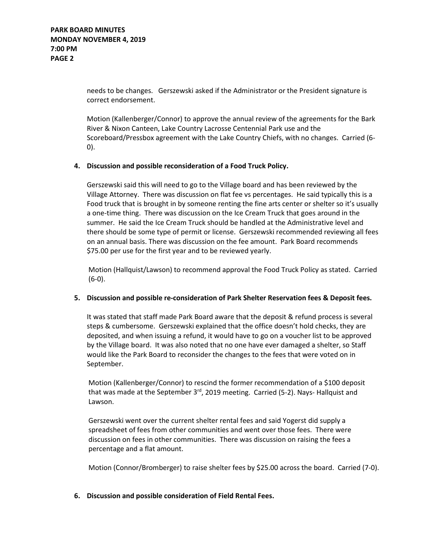needs to be changes. Gerszewski asked if the Administrator or the President signature is correct endorsement.

Motion (Kallenberger/Connor) to approve the annual review of the agreements for the Bark River & Nixon Canteen, Lake Country Lacrosse Centennial Park use and the Scoreboard/Pressbox agreement with the Lake Country Chiefs, with no changes. Carried (6- 0).

## **4. Discussion and possible reconsideration of a Food Truck Policy.**

Gerszewski said this will need to go to the Village board and has been reviewed by the Village Attorney. There was discussion on flat fee vs percentages. He said typically this is a Food truck that is brought in by someone renting the fine arts center or shelter so it's usually a one-time thing. There was discussion on the Ice Cream Truck that goes around in the summer. He said the Ice Cream Truck should be handled at the Administrative level and there should be some type of permit or license. Gerszewski recommended reviewing all fees on an annual basis. There was discussion on the fee amount. Park Board recommends \$75.00 per use for the first year and to be reviewed yearly.

Motion (Hallquist/Lawson) to recommend approval the Food Truck Policy as stated. Carried (6-0).

#### **5. Discussion and possible re-consideration of Park Shelter Reservation fees & Deposit fees.**

It was stated that staff made Park Board aware that the deposit & refund process is several steps & cumbersome. Gerszewski explained that the office doesn't hold checks, they are deposited, and when issuing a refund, it would have to go on a voucher list to be approved by the Village board. It was also noted that no one have ever damaged a shelter, so Staff would like the Park Board to reconsider the changes to the fees that were voted on in September.

Motion (Kallenberger/Connor) to rescind the former recommendation of a \$100 deposit that was made at the September  $3<sup>rd</sup>$ , 2019 meeting. Carried (5-2). Nays-Hallquist and Lawson.

Gerszewski went over the current shelter rental fees and said Yogerst did supply a spreadsheet of fees from other communities and went over those fees. There were discussion on fees in other communities. There was discussion on raising the fees a percentage and a flat amount.

Motion (Connor/Bromberger) to raise shelter fees by \$25.00 across the board. Carried (7-0).

#### **6. Discussion and possible consideration of Field Rental Fees.**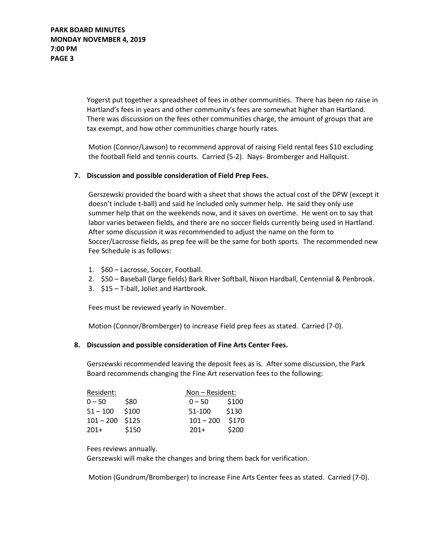Yogerst put together a spreadsheet of fees in other communities. There has been no raise in Hartland's fees in years and other community's fees are somewhat higher than Hartland. There was discussion on the fees other communities charge, the amount of groups that are tax exempt, and how other communities charge hourly rates.

Motion (Connor/Lawson) to recommend approval of raising Field rental fees \$10 excluding the football field and tennis courts. Carried (5-2). Nays- Bromberger and Hallquist.

## **7. Discussion and possible consideration of Field Prep Fees.**

Gerszewski provided the board with a sheet that shows the actual cost of the DPW (except it doesn't include t-ball) and said he included only summer help. He said they only use summer help that on the weekends now, and it saves on overtime. He went on to say that labor varies between fields, and there are no soccer fields currently being used in Hartland. After some discussion it was recommended to adjust the name on the form to Soccer/Lacrosse fields, as prep fee will be the same for both sports. The recommended new Fee Schedule is as follows:

- 1. \$60 Lacrosse, Soccer, Football.
- 2. \$50 Baseball (large fields) Bark River Softball, Nixon Hardball, Centennial & Penbrook.
- 3. \$15 T-ball, Joliet and Hartbrook.

Fees must be reviewed yearly in November.

Motion (Connor/Bromberger) to increase Field prep fees as stated. Carried (7-0).

#### **8. Discussion and possible consideration of Fine Arts Center Fees.**

Gerszewski recommended leaving the deposit fees as is. After some discussion, the Park Board recommends changing the Fine Art reservation fees to the following:

| Resident:         |       | Non – Resident: |       |
|-------------------|-------|-----------------|-------|
| $0 - 50$          | \$80  | $0 - 50$        | \$100 |
| $51 - 100$        | \$100 | 51-100          | \$130 |
| $101 - 200$ \$125 |       | $101 - 200$     | \$170 |
| $201+$            | \$150 | $201+$          | \$200 |

Fees reviews annually.

Gerszewski will make the changes and bring them back for verification.

Motion (Gundrum/Bromberger) to increase Fine Arts Center fees as stated. Carried (7-0).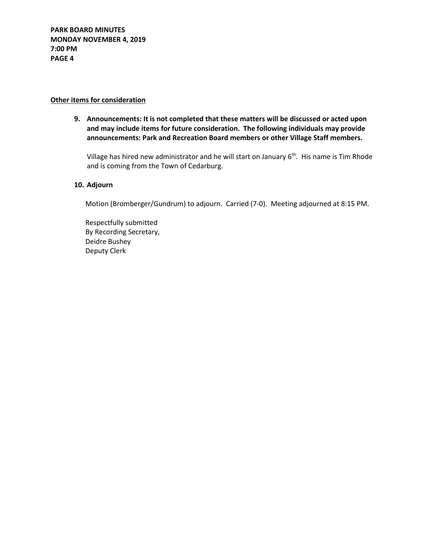## **Other items for consideration**

**9. Announcements: It is not completed that these matters will be discussed or acted upon and may include items for future consideration. The following individuals may provide announcements: Park and Recreation Board members or other Village Staff members.**

Village has hired new administrator and he will start on January 6<sup>th</sup>. His name is Tim Rhode and is coming from the Town of Cedarburg.

## **10. Adjourn**

Motion (Bromberger/Gundrum) to adjourn. Carried (7-0). Meeting adjourned at 8:15 PM.

Respectfully submitted By Recording Secretary, Deidre Bushey Deputy Clerk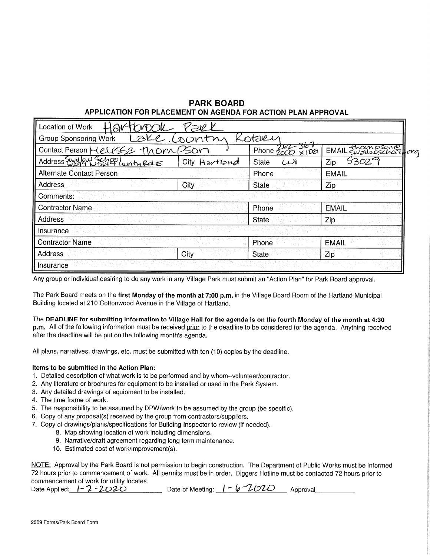# **PARK BOARD** APPLICATION FOR PLACEMENT ON AGENDA FOR ACTION PLAN APPROVAL

| Location of Work                      |               |                          |                 |       |  |  |  |
|---------------------------------------|---------------|--------------------------|-----------------|-------|--|--|--|
| staen<br><b>Group Sponsoring Work</b> |               |                          |                 |       |  |  |  |
| Contact Person Melisse Thom Son       |               | $-30$<br>Phone 4<br>x108 | EMAIL thompsone | Ilova |  |  |  |
| Address Supplay Selet Lanty Rd E      | City Hartland | State<br>ألمدا           | 53029<br>Zip    |       |  |  |  |
| Alternate Contact Person              |               | Phone                    | <b>EMAIL</b>    |       |  |  |  |
| <b>Address</b>                        | City          | State                    | Zip             |       |  |  |  |
| Comments:                             |               |                          |                 |       |  |  |  |
| <b>Contractor Name</b>                |               | Phone                    | <b>EMAIL</b>    |       |  |  |  |
| <b>Address</b>                        |               | <b>State</b>             | Zip.            |       |  |  |  |
| Insurance                             |               |                          |                 |       |  |  |  |
| <b>Contractor Name</b>                |               | Phone                    | <b>EMAIL</b>    |       |  |  |  |
| Address                               | City          | State                    | Zip             |       |  |  |  |
| Insurance                             |               |                          |                 |       |  |  |  |

Any group or individual desiring to do any work in any Village Park must submit an "Action Plan" for Park Board approval.

The Park Board meets on the first Monday of the month at 7:00 p.m. in the Village Board Room of the Hartland Municipal Building located at 210 Cottonwood Avenue in the Village of Hartland.

#### The DEADLINE for submitting information to Village Hall for the agenda is on the fourth Monday of the month at 4:30

p.m. All of the following information must be received prior to the deadline to be considered for the agenda. Anything received after the deadline will be put on the following month's agenda.

All plans, narratives, drawings, etc. must be submitted with ten (10) copies by the deadline.

#### Items to be submitted in the Action Plan:

- 1. Detailed description of what work is to be performed and by whom--volunteer/contractor.
- 2. Any literature or brochures for equipment to be installed or used in the Park System.
- 3. Any detailed drawings of equipment to be installed.
- 4. The time frame of work.
- 5. The responsibility to be assumed by DPW/work to be assumed by the group (be specific).
- 6. Copy of any proposal(s) received by the group from contractors/suppliers.
- 7. Copy of drawings/plans/specifications for Building Inspector to review (if needed).
	- 8. Map showing location of work including dimensions.
	- 9. Narrative/draft agreement regarding long term maintenance.
	- 10. Estimated cost of work/improvement(s).

NOTE: Approval by the Park Board is not permission to begin construction. The Department of Public Works must be informed 72 hours prior to commencement of work. All permits must be in order. Diggers Hotline must be contacted 72 hours prior to commencement of work for utility locates.

| Date Applied: $1 - 2 - 2020$ | Date of Meeting: $1 - 6 - 2020$ |  | Approval |
|------------------------------|---------------------------------|--|----------|
|------------------------------|---------------------------------|--|----------|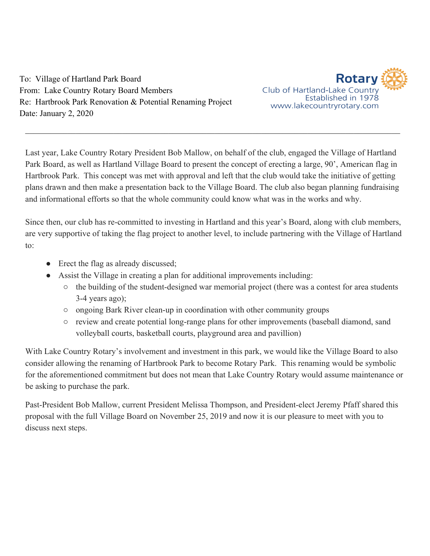To: Village of Hartland Park Board From: Lake Country Rotary Board Members Re: Hartbrook Park Renovation & Potential Renaming Project Date: January 2, 2020



Last year, Lake Country Rotary President Bob Mallow, on behalf of the club, engaged the Village of Hartland Park Board, as well as Hartland Village Board to present the concept of erecting a large, 90', American flag in Hartbrook Park. This concept was met with approval and left that the club would take the initiative of getting plans drawn and then make a presentation back to the Village Board. The club also began planning fundraising and informational efforts so that the whole community could know what was in the works and why.

 $\_$  , and the contribution of the contribution of the contribution of the contribution of the contribution of  $\mathcal{L}_\text{max}$ 

Since then, our club has re-committed to investing in Hartland and this year's Board, along with club members, are very supportive of taking the flag project to another level, to include partnering with the Village of Hartland to:

- Erect the flag as already discussed;
- Assist the Village in creating a plan for additional improvements including:
	- the building of the student-designed war memorial project (there was a contest for area students 3-4 years ago);
	- ongoing Bark River clean-up in coordination with other community groups
	- review and create potential long-range plans for other improvements (baseball diamond, sand volleyball courts, basketball courts, playground area and pavillion)

With Lake Country Rotary's involvement and investment in this park, we would like the Village Board to also consider allowing the renaming of Hartbrook Park to become Rotary Park. This renaming would be symbolic for the aforementioned commitment but does not mean that Lake Country Rotary would assume maintenance or be asking to purchase the park.

Past-President Bob Mallow, current President Melissa Thompson, and President-elect Jeremy Pfaff shared this proposal with the full Village Board on November 25, 2019 and now it is our pleasure to meet with you to discuss next steps.